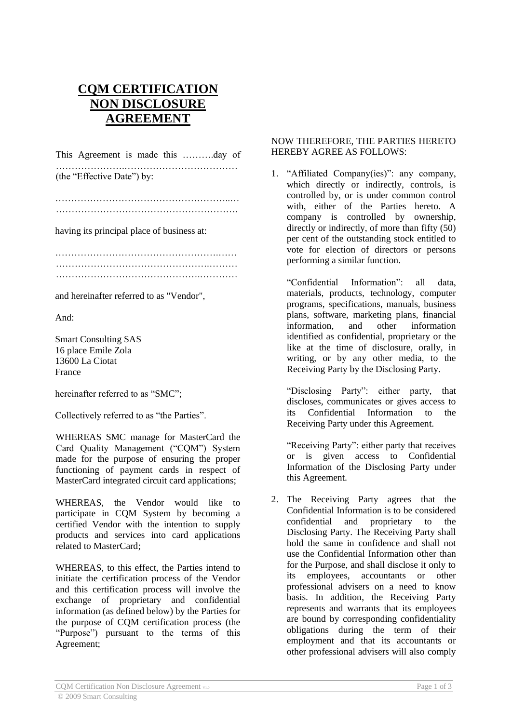## **CQM CERTIFICATION NON DISCLOSURE AGREEMENT**

This Agreement is made this ……….day of ………………….………………………………

(the "Effective Date") by:

………………………………………………..… ………………………………………………….

having its principal place of business at:

…………………………………………….…… ………………………………………….……… ……………………………………….…………

and hereinafter referred to as "Vendor",

And:

Smart Consulting SAS 16 place Emile Zola 13600 La Ciotat France

hereinafter referred to as "SMC";

Collectively referred to as "the Parties".

WHEREAS SMC manage for MasterCard the Card Quality Management ("CQM") System made for the purpose of ensuring the proper functioning of payment cards in respect of MasterCard integrated circuit card applications;

WHEREAS, the Vendor would like to participate in CQM System by becoming a certified Vendor with the intention to supply products and services into card applications related to MasterCard;

WHEREAS, to this effect, the Parties intend to initiate the certification process of the Vendor and this certification process will involve the exchange of proprietary and confidential information (as defined below) by the Parties for the purpose of CQM certification process (the "Purpose") pursuant to the terms of this Agreement;

## NOW THEREFORE, THE PARTIES HERETO HEREBY AGREE AS FOLLOWS:

1. "Affiliated Company(ies)": any company, which directly or indirectly, controls, is controlled by, or is under common control with, either of the Parties hereto. A company is controlled by ownership, directly or indirectly, of more than fifty (50) per cent of the outstanding stock entitled to vote for election of directors or persons performing a similar function.

"Confidential Information": all data, materials, products, technology, computer programs, specifications, manuals, business plans, software, marketing plans, financial information, and other information identified as confidential, proprietary or the like at the time of disclosure, orally, in writing, or by any other media, to the Receiving Party by the Disclosing Party.

"Disclosing Party": either party, that discloses, communicates or gives access to its Confidential Information to the Receiving Party under this Agreement.

"Receiving Party": either party that receives or is given access to Confidential Information of the Disclosing Party under this Agreement.

2. The Receiving Party agrees that the Confidential Information is to be considered confidential and proprietary to the Disclosing Party. The Receiving Party shall hold the same in confidence and shall not use the Confidential Information other than for the Purpose, and shall disclose it only to its employees, accountants or other professional advisers on a need to know basis. In addition, the Receiving Party represents and warrants that its employees are bound by corresponding confidentiality obligations during the term of their employment and that its accountants or other professional advisers will also comply

CQM Certification Non Disclosure Agreement V1.0 Page 1 of 3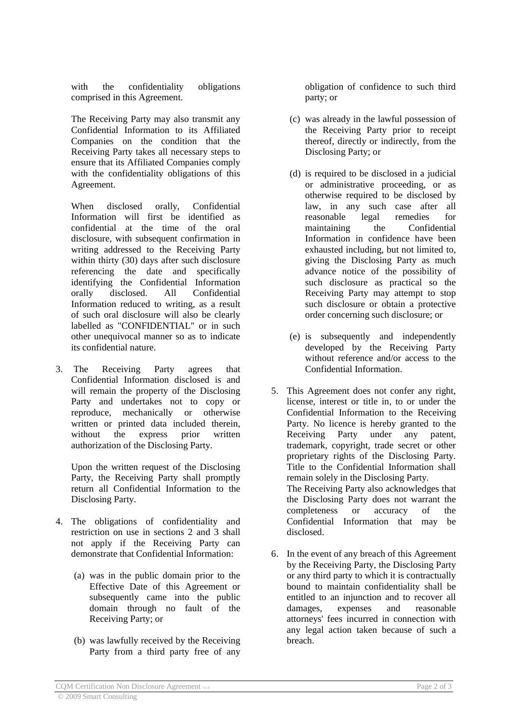with the confidentiality obligations comprised in this Agreement.

The Receiving Party may also transmit any Confidential Information to its Affiliated Companies on the condition that the Receiving Party takes all necessary steps to ensure that its Affiliated Companies comply with the confidentiality obligations of this Agreement.

When disclosed orally, Confidential Information will first be identified as confidential at the time of the oral disclosure, with subsequent confirmation in writing addressed to the Receiving Party within thirty (30) days after such disclosure referencing the date and specifically identifying the Confidential Information orally disclosed. All Confidential Information reduced to writing, as a result of such oral disclosure will also be clearly labelled as "CONFIDENTIAL" or in such other unequivocal manner so as to indicate its confidential nature.

3. The Receiving Party agrees that Confidential Information disclosed is and will remain the property of the Disclosing Party and undertakes not to copy or reproduce, mechanically or otherwise written or printed data included therein, without the express prior written authorization of the Disclosing Party.

Upon the written request of the Disclosing Party, the Receiving Party shall promptly return all Confidential Information to the Disclosing Party.

- 4. The obligations of confidentiality and restriction on use in sections 2 and 3 shall not apply if the Receiving Party can demonstrate that Confidential Information:
	- (a) was in the public domain prior to the Effective Date of this Agreement or subsequently came into the public domain through no fault of the Receiving Party; or
	- (b) was lawfully received by the Receiving Party from a third party free of any

obligation of confidence to such third party; or

- (c) was already in the lawful possession of the Receiving Party prior to receipt thereof, directly or indirectly, from the Disclosing Party; or
- (d) is required to be disclosed in a judicial or administrative proceeding, or as otherwise required to be disclosed by law, in any such case after all reasonable legal remedies for maintaining the Confidential Information in confidence have been exhausted including, but not limited to, giving the Disclosing Party as much advance notice of the possibility of such disclosure as practical so the Receiving Party may attempt to stop such disclosure or obtain a protective order concerning such disclosure; or
- (e) is subsequently and independently developed by the Receiving Party without reference and/or access to the Confidential Information.
- 5. This Agreement does not confer any right, license, interest or title in, to or under the Confidential Information to the Receiving Party. No licence is hereby granted to the Receiving Party under any patent, trademark, copyright, trade secret or other proprietary rights of the Disclosing Party. Title to the Confidential Information shall remain solely in the Disclosing Party. The Receiving Party also acknowledges that the Disclosing Party does not warrant the completeness or accuracy of the Confidential Information that may be disclosed.
- 6. In the event of any breach of this Agreement by the Receiving Party, the Disclosing Party or any third party to which it is contractually bound to maintain confidentiality shall be entitled to an injunction and to recover all damages, expenses and reasonable attorneys' fees incurred in connection with any legal action taken because of such a breach.